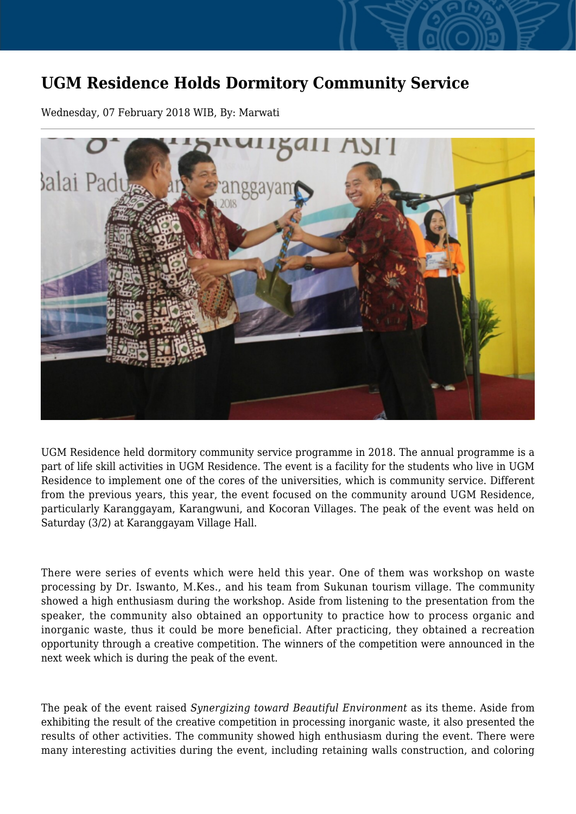## **UGM Residence Holds Dormitory Community Service**

Wednesday, 07 February 2018 WIB, By: Marwati



UGM Residence held dormitory community service programme in 2018. The annual programme is a part of life skill activities in UGM Residence. The event is a facility for the students who live in UGM Residence to implement one of the cores of the universities, which is community service. Different from the previous years, this year, the event focused on the community around UGM Residence, particularly Karanggayam, Karangwuni, and Kocoran Villages. The peak of the event was held on Saturday (3/2) at Karanggayam Village Hall.

There were series of events which were held this year. One of them was workshop on waste processing by Dr. Iswanto, M.Kes., and his team from Sukunan tourism village. The community showed a high enthusiasm during the workshop. Aside from listening to the presentation from the speaker, the community also obtained an opportunity to practice how to process organic and inorganic waste, thus it could be more beneficial. After practicing, they obtained a recreation opportunity through a creative competition. The winners of the competition were announced in the next week which is during the peak of the event.

The peak of the event raised *Synergizing toward Beautiful Environment* as its theme. Aside from exhibiting the result of the creative competition in processing inorganic waste, it also presented the results of other activities. The community showed high enthusiasm during the event. There were many interesting activities during the event, including retaining walls construction, and coloring